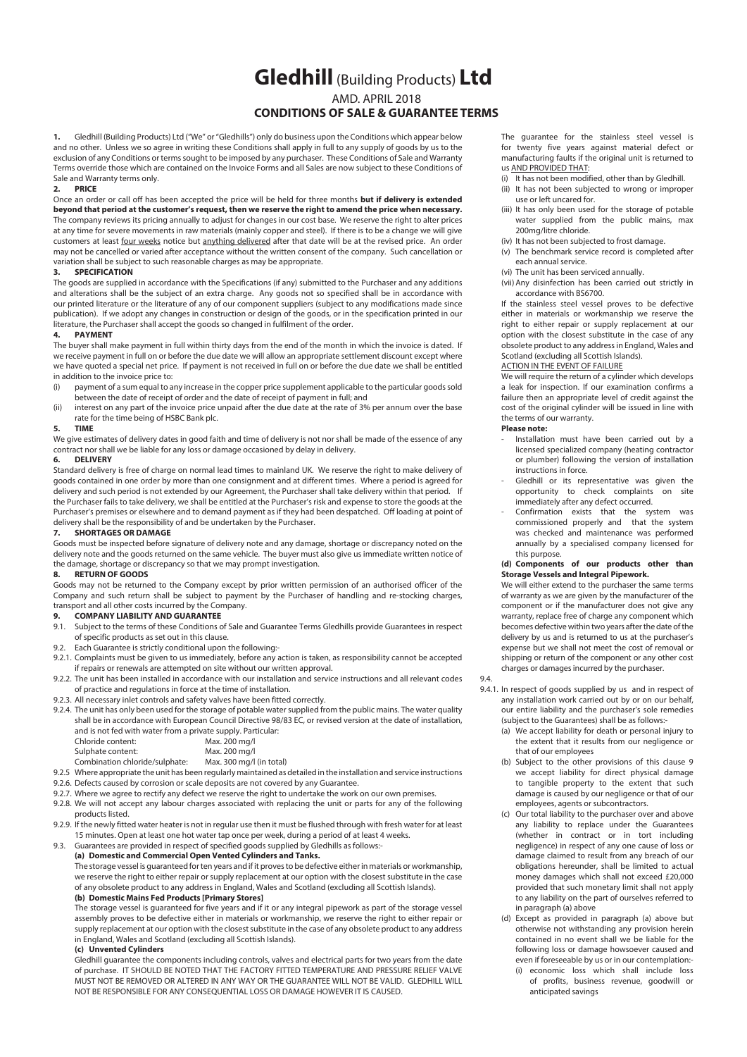# **Gledhill** (Building Products) **Ltd**

AMD. APRIL 2018

### **CONDITIONS OF SALE & GUARANTEE TERMS**

**1.** Gledhill (Building Products) Ltd ("We" or "Gledhills") only do business upon the Conditions which appear below and no other. Unless we so agree in writing these Conditions shall apply in full to any supply of goods by us to the exclusion of any Conditions or terms sought to be imposed by any purchaser. These Conditions of Sale and Warranty Terms override those which are contained on the Invoice Forms and all Sales are now subject to these Conditions of Sale and Warranty terms only.

#### **2. PRICE**

Once an order or call off has been accepted the price will be held for three months **but if delivery is extended beyond that period at the customer's request, then we reserve the right to amend the price when necessary.** The company reviews its pricing annually to adjust for changes in our cost base. We reserve the right to alter prices at any time for severe movements in raw materials (mainly copper and steel). If there is to be a change we will give customers at least four weeks notice but anything delivered after that date will be at the revised price. An order may not be cancelled or varied after acceptance without the written consent of the company. Such cancellation or variation shall be subject to such reasonable charges as may be appropriate.

#### **3. SPECIFICATION**

The goods are supplied in accordance with the Specifications (if any) submitted to the Purchaser and any additions and alterations shall be the subject of an extra charge. Any goods not so specified shall be in accordance with our printed literature or the literature of any of our component suppliers (subject to any modifications made since publication). If we adopt any changes in construction or design of the goods, or in the specification printed in our literature, the Purchaser shall accept the goods so changed in fulfilment of the order.

#### **4. PAYMENT**

The buyer shall make payment in full within thirty days from the end of the month in which the invoice is dated. If we receive payment in full on or before the due date we will allow an appropriate settlement discount except where we have quoted a special net price. If payment is not received in full on or before the due date we shall be entitled in addition to the invoice price to:

- payment of a sum equal to any increase in the copper price supplement applicable to the particular goods sold between the date of receipt of order and the date of receipt of payment in full; and
- (ii) interest on any part of the invoice price unpaid after the due date at the rate of 3% per annum over the base rate for the time being of HSBC Bank plc.

#### **5. TIME**

We give estimates of delivery dates in good faith and time of delivery is not nor shall be made of the essence of any contract nor shall we be liable for any loss or damage occasioned by delay in delivery.

#### **6. DELIVERY**

Standard delivery is free of charge on normal lead times to mainland UK. We reserve the right to make delivery of goods contained in one order by more than one consignment and at different times. Where a period is agreed for delivery and such period is not extended by our Agreement, the Purchaser shall take delivery within that period. If the Purchaser fails to take delivery, we shall be entitled at the Purchaser's risk and expense to store the goods at the Purchaser's premises or elsewhere and to demand payment as if they had been despatched. Off loading at point of delivery shall be the responsibility of and be undertaken by the Purchaser.

#### **7. SHORTAGES OR DAMAGE**

Goods must be inspected before signature of delivery note and any damage, shortage or discrepancy noted on the delivery note and the goods returned on the same vehicle. The buyer must also give us immediate written notice of the damage, shortage or discrepancy so that we may prompt investigation.

#### **8. RETURN OF GOODS**

Goods may not be returned to the Company except by prior written permission of an authorised officer of the Company and such return shall be subject to payment by the Purchaser of handling and re-stocking charges, transport and all other costs incurred by the Company.

#### **9. COMPANY LIABILITY AND GUARANTEE**

- 9.1. Subject to the terms of these Conditions of Sale and Guarantee Terms Gledhills provide Guarantees in respect of specific products as set out in this clause.
- 9.2. Each Guarantee is strictly conditional upon the following:-
- 9.2.1. Complaints must be given to us immediately, before any action is taken, as responsibility cannot be accepted if repairs or renewals are attempted on site without our written approval.
- 9.2.2. The unit has been installed in accordance with our installation and service instructions and all relevant codes of practice and regulations in force at the time of installation.
- 9.2.3. All necessary inlet controls and safety valves have been fitted correctly.
- 9.2.4. The unit has only been used for the storage of potable water supplied from the public mains. The water quality shall be in accordance with European Council Directive 98/83 EC, or revised version at the date of installation, and is not fed with water from a private supply. Particular:

| Chloride content:              | Max. 200 mg/l            |
|--------------------------------|--------------------------|
| Sulphate content:              | Max. 200 mg/l            |
| Combination chloride/sulphate: | Max. 300 mg/l (in total) |

9.2.5 Where appropriate the unit has been regularly maintained as detailed in the installation and service instructions

- 9.2.6. Defects caused by corrosion or scale deposits are not covered by any Guarantee.
- 9.2.7. Where we agree to rectify any defect we reserve the right to undertake the work on our own premises. 9.2.8. We will not accept any labour charges associated with replacing the unit or parts for any of the following products listed.
- 9.2.9. If the newly fitted water heater is not in regular use then it must be flushed through with fresh water for at least 15 minutes. Open at least one hot water tap once per week, during a period of at least 4 weeks.
- 9.3. Guarantees are provided in respect of specified goods supplied by Gledhills as follows:-

#### **(a) Domestic and Commercial Open Vented Cylinders and Tanks.**

The storage vessel is guaranteed for ten years and if it proves to be defective either in materials or workmanship, we reserve the right to either repair or supply replacement at our option with the closest substitute in the case of any obsolete product to any address in England, Wales and Scotland (excluding all Scottish Islands).

## **(b) Domestic Mains Fed Products [Primary Stores]**

The storage vessel is guaranteed for five years and if it or any integral pipework as part of the storage vessel assembly proves to be defective either in materials or workmanship, we reserve the right to either repair or supply replacement at our option with the closest substitute in the case of any obsolete product to any address in England, Wales and Scotland (excluding all Scottish Islands).

#### **(c) Unvented Cylinders**

Gledhill guarantee the components including controls, valves and electrical parts for two years from the date of purchase. IT SHOULD BE NOTED THAT THE FACTORY FITTED TEMPERATURE AND PRESSURE RELIEF VALVE MUST NOT BE REMOVED OR ALTERED IN ANY WAY OR THE GUARANTEE WILL NOT BE VALID. GLEDHILL WILL NOT BE RESPONSIBLE FOR ANY CONSEQUENTIAL LOSS OR DAMAGE HOWEVER IT IS CAUSED.

The guarantee for the stainless steel vessel is for twenty five years against material defect or manufacturing faults if the original unit is returned to us AND PROVIDED THAT:

- (i) It has not been modified, other than by Gledhill.
- (ii) It has not been subjected to wrong or improper use or left uncared for.
- (iii) It has only been used for the storage of potable water supplied from the public mains, max 200mg/litre chloride.
- (iv) It has not been subjected to frost damage.
- (v) The benchmark service record is completed after each annual service.
- (vi) The unit has been serviced annually.
- (vii)Any disinfection has been carried out strictly in accordance with BS6700.

If the stainless steel vessel proves to be defective either in materials or workmanship we reserve the right to either repair or supply replacement at our option with the closest substitute in the case of any obsolete product to any address in England, Wales and Scotland (excluding all Scottish Islands). ACTION IN THE EVENT OF FAILURE

We will require the return of a cylinder which develops a leak for inspection. If our examination confirms a failure then an appropriate level of credit against the cost of the original cylinder will be issued in line with the terms of our warranty.

#### **Please note:**

- Installation must have been carried out by a licensed specialized company (heating contractor or plumber) following the version of installation instructions in force.
- Gledhill or its representative was given the opportunity to check complaints on site immediately after any defect occurred.
- Confirmation exists that the system was commissioned properly and that the system was checked and maintenance was performed annually by a specialised company licensed for this purpose.

#### **(d) Components of our products other than Storage Vessels and Integral Pipework.**

We will either extend to the purchaser the same terms of warranty as we are given by the manufacturer of the component or if the manufacturer does not give any warranty, replace free of charge any component which becomes defective within two years after the date of the delivery by us and is returned to us at the purchaser's expense but we shall not meet the cost of removal or shipping or return of the component or any other cost charges or damages incurred by the purchaser.

#### $Q \triangleq 4$

- 9.4.1. In respect of goods supplied by us and in respect of any installation work carried out by or on our behalf, our entire liability and the purchaser's sole remedies (subject to the Guarantees) shall be as follows:-
	- (a) We accept liability for death or personal injury to the extent that it results from our negligence or that of our employees
	- (b) Subject to the other provisions of this clause 9 we accept liability for direct physical damage to tangible property to the extent that such damage is caused by our negligence or that of our employees, agents or subcontractors.
	- (c) Our total liability to the purchaser over and above any liability to replace under the Guarantees (whether in contract or in tort including negligence) in respect of any one cause of loss or damage claimed to result from any breach of our obligations hereunder, shall be limited to actual money damages which shall not exceed £20,000 provided that such monetary limit shall not apply to any liability on the part of ourselves referred to in paragraph (a) above
	- (d) Except as provided in paragraph (a) above but otherwise not withstanding any provision herein contained in no event shall we be liable for the following loss or damage howsoever caused and even if foreseeable by us or in our contemplation:-
		- (i) economic loss which shall include loss of profits, business revenue, goodwill or anticipated savings